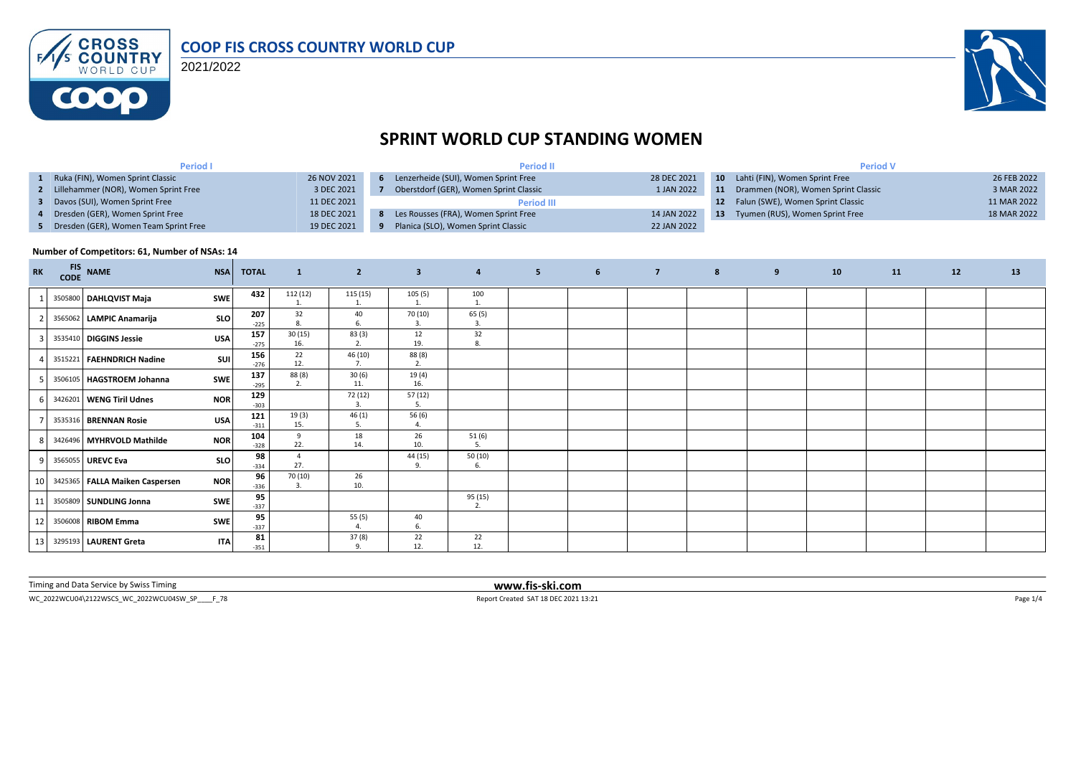

2021/2022



# **SPRINT WORLD CUP STANDING WOMEN**

| <b>Period I</b>                         |             | <b>Period II</b>                       |             | <b>Period V</b> |                                        |             |  |  |
|-----------------------------------------|-------------|----------------------------------------|-------------|-----------------|----------------------------------------|-------------|--|--|
| 1 Ruka (FIN), Women Sprint Classic      | 26 NOV 2021 | Lenzerheide (SUI), Women Sprint Free   | 28 DEC 2021 |                 | 10 Lahti (FIN), Women Sprint Free      | 26 FEB 2022 |  |  |
| 2 Lillehammer (NOR), Women Sprint Free  | 3 DEC 2021  | Oberstdorf (GER), Women Sprint Classic | 1 JAN 2022  |                 | 11 Drammen (NOR), Women Sprint Classic | 3 MAR 2022  |  |  |
| 3 Davos (SUI), Women Sprint Free        | 11 DEC 2021 | <b>Period III</b>                      |             |                 | 12 Falun (SWE), Women Sprint Classic   | 11 MAR 2022 |  |  |
| 4 Dresden (GER), Women Sprint Free      | 18 DEC 2021 | Les Rousses (FRA), Women Sprint Free   | 14 JAN 2022 | -13             | Tyumen (RUS), Women Sprint Free        | 18 MAR 2022 |  |  |
| 5 Dresden (GER), Women Team Sprint Free | 19 DEC 2021 | Planica (SLO), Women Sprint Classic    | 22 JAN 2022 |                 |                                        |             |  |  |

#### **Number of Competitors: 61, Number of NSAs: 14**

| <b>RK</b>       | <b>FIS</b> | CODE NAME                      | <b>NSA</b> | <b>TOTAL</b>  | $\mathbf{1}$              | $\overline{2}$            | $\overline{\mathbf{3}}$ | $\overline{4}$ | 5 <sub>5</sub> | 6 <sup>6</sup> | $\overline{7}$ | 8 | 9 | 10 | 11 | 12 | 13 |
|-----------------|------------|--------------------------------|------------|---------------|---------------------------|---------------------------|-------------------------|----------------|----------------|----------------|----------------|---|---|----|----|----|----|
|                 |            | 3505800 DAHLQVIST Maja         | <b>SWE</b> | 432           | 112 (12)                  | 115 (15)                  | 105(5)                  | 100<br>1.      |                |                |                |   |   |    |    |    |    |
|                 |            | 3565062 LAMPIC Anamarija       | <b>SLO</b> | 207<br>$-225$ | 32<br>8.                  | 40<br>6.                  | 70 (10)<br>3.           | 65(5)<br>3.    |                |                |                |   |   |    |    |    |    |
|                 |            | 3535410 DIGGINS Jessie         | <b>USA</b> | 157<br>$-275$ | 30(15)<br>16.             | 83(3)<br>2.               | 12<br>19.               | 32<br>8.       |                |                |                |   |   |    |    |    |    |
|                 |            | 3515221 FAEHNDRICH Nadine      | SUI        | 156<br>$-276$ | 22<br>12.                 | 46 (10)<br>7.             | 88 (8)<br>2.            |                |                |                |                |   |   |    |    |    |    |
|                 |            | 3506105   HAGSTROEM Johanna    | <b>SWE</b> | 137<br>$-295$ | 88 (8)<br>2.              | 30(6)<br>11.              | 19 (4)<br>16.           |                |                |                |                |   |   |    |    |    |    |
|                 |            | 3426201 WENG Tiril Udnes       | <b>NOR</b> | 129<br>$-303$ |                           | 72 (12)<br>3.             | 57 (12)<br>5.           |                |                |                |                |   |   |    |    |    |    |
|                 |            | 3535316 BRENNAN Rosie          | <b>USA</b> | 121<br>$-311$ | 19(3)<br>15.              | 46(1)<br>5.               | 56 (6)<br>4.            |                |                |                |                |   |   |    |    |    |    |
| $\mathsf{R}$    |            | 3426496 MYHRVOLD Mathilde      | <b>NOR</b> | 104<br>$-328$ | 9<br>22.                  | 18<br>14.                 | 26<br>10.               | 51(6)          |                |                |                |   |   |    |    |    |    |
| $Q_{\parallel}$ |            | 3565055 UREVC Eva              | <b>SLO</b> | 98<br>$-334$  | Δ<br>27.                  |                           | 44 (15)<br>9.           | 50(10)<br>6.   |                |                |                |   |   |    |    |    |    |
| 10              |            | 3425365 FALLA Maiken Caspersen | <b>NOR</b> | 96<br>$-336$  | 70 (10)<br>$\overline{3}$ | 26<br>10.                 |                         |                |                |                |                |   |   |    |    |    |    |
| 11              |            | 3505809 SUNDLING Jonna         | <b>SWE</b> | 95<br>$-337$  |                           |                           |                         | 95 (15)<br>2.  |                |                |                |   |   |    |    |    |    |
| 12              |            | 3506008 RIBOM Emma             | SWE        | 95<br>$-337$  |                           | 55(5)<br>$\overline{4}$ . | 40<br>6.                |                |                |                |                |   |   |    |    |    |    |
| 13 <sup>1</sup> |            | 3295193 LAURENT Greta          | <b>ITA</b> | 81<br>$-351$  |                           | 37(8)<br>9.               | 22<br>12.               | 22<br>12.      |                |                |                |   |   |    |    |    |    |

Timing and Data Service by Swiss Timing **www.fis-ski.com**

WC\_2022WCU04\2122WSCS\_WC\_2022WCU04SW\_SP\_\_\_\_F\_78 Report Created SAT 18 DEC 2021 13:21 Page 1/4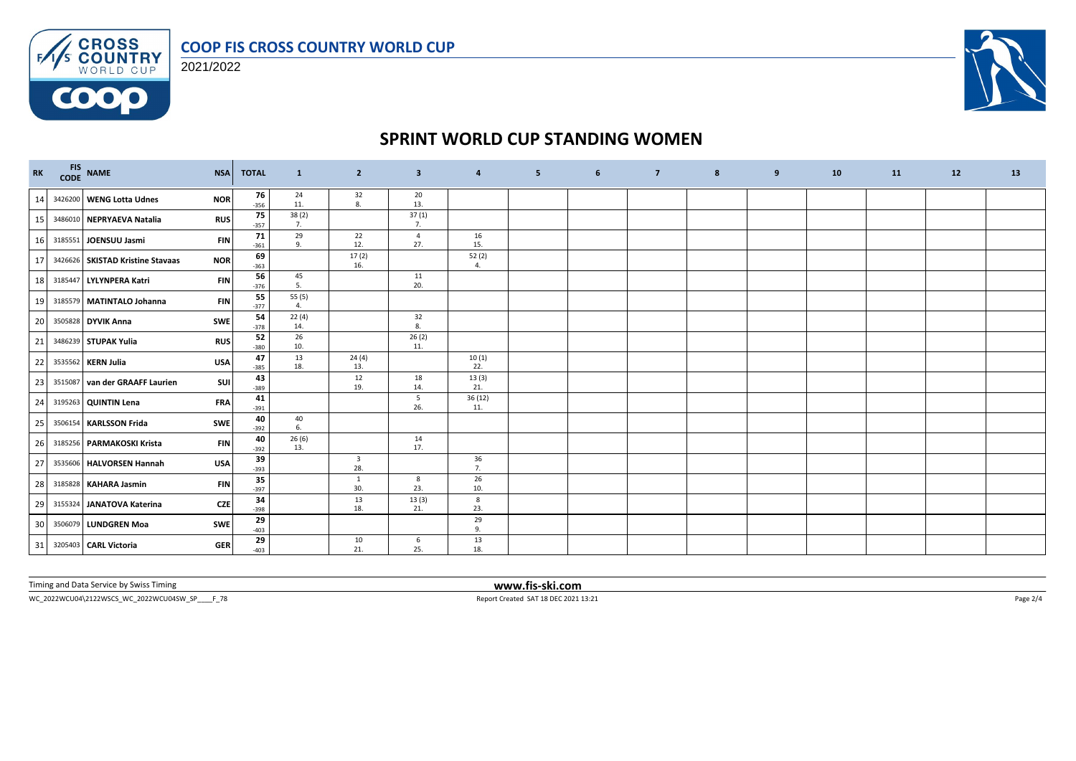

FAS CROSS 2021/2022

**COOO** 



# **SPRINT WORLD CUP STANDING WOMEN**

| RK | FIS NAME                         | <b>NSA</b> | <b>TOTAL</b> | $\mathbf{1}$ | $\overline{2}$                 | $\overline{\mathbf{3}}$ | $\overline{a}$ | 5 | 6 | $\overline{7}$ | 8 | 9 | 10 | 11 | 12 | 13 |
|----|----------------------------------|------------|--------------|--------------|--------------------------------|-------------------------|----------------|---|---|----------------|---|---|----|----|----|----|
| 14 | 3426200 WENG Lotta Udnes         | <b>NOR</b> | 76<br>$-356$ | 24<br>11.    | 32<br>8.                       | 20<br>13.               |                |   |   |                |   |   |    |    |    |    |
| 15 | 3486010 NEPRYAEVA Natalia        | <b>RUS</b> | 75<br>$-357$ | 38(2)<br>7.  |                                | 37(1)<br>7.             |                |   |   |                |   |   |    |    |    |    |
| 16 | 3185551 JOENSUU Jasmi            | <b>FIN</b> | 71<br>$-361$ | 29<br>9.     | 22<br>12.                      | $\overline{4}$<br>27.   | 16<br>15.      |   |   |                |   |   |    |    |    |    |
| 17 | 3426626 SKISTAD Kristine Stavaas | <b>NOR</b> | 69<br>$-363$ |              | 17(2)<br>16.                   |                         | 52(2)<br>4.    |   |   |                |   |   |    |    |    |    |
| 18 | 3185447 LYLYNPERA Katri          | <b>FIN</b> | 56<br>$-376$ | 45<br>5.     |                                | 11<br>20.               |                |   |   |                |   |   |    |    |    |    |
| 19 | 3185579 MATINTALO Johanna        | <b>FIN</b> | 55<br>$-377$ | 55(5)<br>4.  |                                |                         |                |   |   |                |   |   |    |    |    |    |
| 20 | 3505828 DYVIK Anna               | <b>SWE</b> | 54<br>$-378$ | 22(4)<br>14. |                                | 32<br>8.                |                |   |   |                |   |   |    |    |    |    |
| 21 | 3486239 STUPAK Yulia             | <b>RUS</b> | 52<br>$-380$ | 26<br>10.    |                                | 26(2)<br>11.            |                |   |   |                |   |   |    |    |    |    |
| 22 | 3535562 KERN Julia               | <b>USA</b> | 47<br>$-385$ | 13<br>18.    | 24(4)<br>13.                   |                         | 10(1)<br>22.   |   |   |                |   |   |    |    |    |    |
| 23 | 3515087 van der GRAAFF Laurien   | <b>SUI</b> | 43<br>$-389$ |              | 12<br>19.                      | 18<br>14.               | 13(3)<br>21.   |   |   |                |   |   |    |    |    |    |
| 24 | 3195263 QUINTIN Lena             | <b>FRA</b> | 41<br>$-391$ |              |                                | 5<br>26.                | 36(12)<br>11.  |   |   |                |   |   |    |    |    |    |
| 25 | 3506154 KARLSSON Frida           | SWE        | 40<br>$-392$ | 40<br>6.     |                                |                         |                |   |   |                |   |   |    |    |    |    |
| 26 | 3185256 PARMAKOSKI Krista        | <b>FIN</b> | 40<br>$-392$ | 26(6)<br>13. |                                | 14<br>17.               |                |   |   |                |   |   |    |    |    |    |
| 27 | 3535606 HALVORSEN Hannah         | <b>USA</b> | 39<br>$-393$ |              | $\overline{\mathbf{3}}$<br>28. |                         | 36<br>7.       |   |   |                |   |   |    |    |    |    |
| 28 | 3185828 KAHARA Jasmin            | <b>FIN</b> | 35<br>$-397$ |              | 1<br>30.                       | 8<br>23.                | 26<br>10.      |   |   |                |   |   |    |    |    |    |
| 29 | 3155324 JANATOVA Katerina        | <b>CZE</b> | 34<br>$-398$ |              | 13<br>18.                      | 13(3)<br>21.            | 8<br>23.       |   |   |                |   |   |    |    |    |    |
| 30 | 3506079 LUNDGREN Moa             | SWE        | 29<br>$-403$ |              |                                |                         | 29<br>9.       |   |   |                |   |   |    |    |    |    |
| 31 | 3205403 CARL Victoria            | <b>GER</b> | 29<br>$-403$ |              | 10<br>21.                      | 6<br>25.                | 13<br>18.      |   |   |                |   |   |    |    |    |    |

Timing and Data Service by Swiss Timing **www.fis-ski.com**

WC\_2022WCU04\2122WSCS\_WC\_2022WCU04SW\_SP\_\_\_\_F\_78 Report Created SAT 18 DEC 2021 13:21 Page 2/4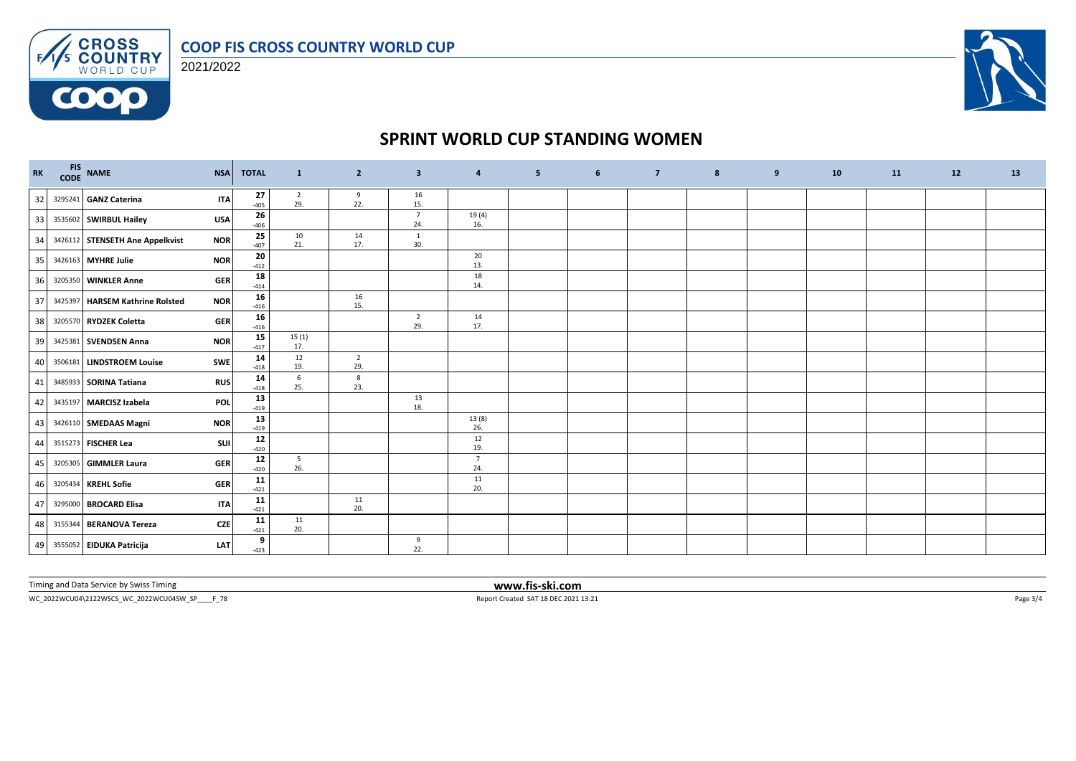

FAS CROSS 2021/2022

**COOO** 



# **SPRINT WORLD CUP STANDING WOMEN**

| RK | FIS NAME                          | <b>NSA</b> | <b>TOTAL</b>         | $\mathbf{1}$       | $\overline{2}$        | $\overline{\mathbf{3}}$ | 4                     | 5 <sub>1</sub> | 6 | $\overline{7}$ | 8 | 9 | 10 | 11 | 12 | 13 |
|----|-----------------------------------|------------|----------------------|--------------------|-----------------------|-------------------------|-----------------------|----------------|---|----------------|---|---|----|----|----|----|
| 32 | 3295241 GANZ Caterina             | <b>ITA</b> | 27<br>$-405$         | $\frac{2}{29}$ .   | 9<br>22.              | 16<br>15.               |                       |                |   |                |   |   |    |    |    |    |
| 33 | 3535602 SWIRBUL Hailey            | <b>USA</b> | 26<br>$-406$         |                    |                       | $\overline{7}$<br>24.   | 19(4)<br>16.          |                |   |                |   |   |    |    |    |    |
| 34 | 3426112 STENSETH Ane Appelkvist   | <b>NOR</b> | 25<br>$-407$         | 10<br>21.          | 14<br>17.             | $\overline{1}$<br>30.   |                       |                |   |                |   |   |    |    |    |    |
| 35 | 3426163 MYHRE Julie               | <b>NOR</b> | 20<br>$-412$         |                    |                       |                         | 20<br>13.             |                |   |                |   |   |    |    |    |    |
| 36 | 3205350 WINKLER Anne              | <b>GER</b> | 18<br>$-414$         |                    |                       |                         | 18<br>14.             |                |   |                |   |   |    |    |    |    |
| 37 | 3425397   HARSEM Kathrine Rolsted | <b>NOR</b> | ${\bf 16}$<br>$-416$ |                    | 16<br>15.             |                         |                       |                |   |                |   |   |    |    |    |    |
| 38 | 3205570 RYDZEK Coletta            | <b>GER</b> | 16<br>$-416$         |                    |                       | $\overline{2}$<br>29.   | 14<br>17.             |                |   |                |   |   |    |    |    |    |
| 39 | 3425381 SVENDSEN Anna             | <b>NOR</b> | 15<br>$-417$         | 15(1)<br>17.       |                       |                         |                       |                |   |                |   |   |    |    |    |    |
| 40 | 3506181 LINDSTROEM Louise         | <b>SWE</b> | 14<br>$-418$         | 12<br>19.          | $\overline{2}$<br>29. |                         |                       |                |   |                |   |   |    |    |    |    |
| 41 | 3485933 SORINA Tatiana            | <b>RUS</b> | 14<br>$-418$         | 6<br>25.           | 8<br>23.              |                         |                       |                |   |                |   |   |    |    |    |    |
| 42 | 3435197 MARCISZ Izabela           | POL        | 13<br>$-419$         |                    |                       | 13<br>18.               |                       |                |   |                |   |   |    |    |    |    |
| 43 | 3426110 SMEDAAS Magni             | <b>NOR</b> | 13<br>$-419$         |                    |                       |                         | 13(8)<br>26.          |                |   |                |   |   |    |    |    |    |
| 44 | 3515273 FISCHER Lea               | SUI        | $12\,$<br>$-420$     |                    |                       |                         | 12<br>19.             |                |   |                |   |   |    |    |    |    |
| 45 | 3205305 GIMMLER Laura             | <b>GER</b> | $12\,$<br>$-420$     | $5^{\circ}$<br>26. |                       |                         | $\overline{7}$<br>24. |                |   |                |   |   |    |    |    |    |
| 46 | 3205434 KREHL Sofie               | <b>GER</b> | 11<br>$-421$         |                    |                       |                         | 11<br>20.             |                |   |                |   |   |    |    |    |    |
| 47 | 3295000 BROCARD Elisa             | <b>ITA</b> | 11<br>$-421$         |                    | 11<br>20.             |                         |                       |                |   |                |   |   |    |    |    |    |
| 48 | 3155344 BERANOVA Tereza           | CZE        | 11<br>$-421$         | 11<br>20.          |                       |                         |                       |                |   |                |   |   |    |    |    |    |
|    | 49 3555052 EIDUKA Patricija       | LAT        | 9<br>$-423$          |                    |                       | 9<br>22.                |                       |                |   |                |   |   |    |    |    |    |

Timing and Data Service by Swiss Timing **www.fis-ski.com**

WC\_2022WCU04\2122WSCS\_WC\_2022WCU04SW\_SP\_\_\_\_F\_78 Report Created SAT 18 DEC 2021 13:21 Page 3/4